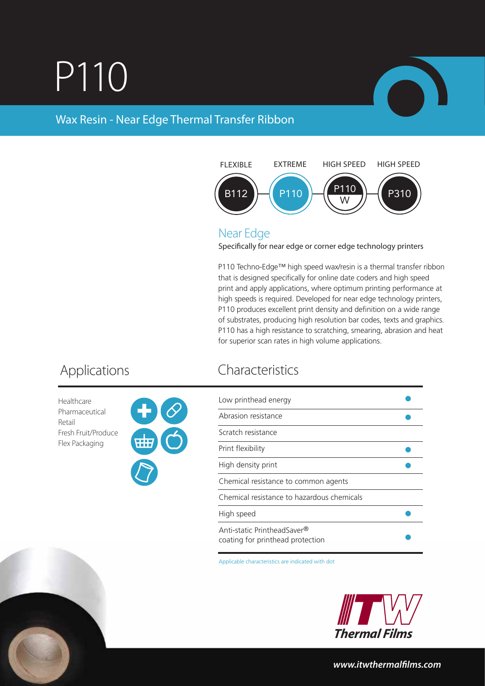## P110



## Wax Resin - Near Edge Thermal Transfer Ribbon



### Near Edge

Specifically for near edge or corner edge technology printers

P110 Techno-Edge™ high speed wax/resin is a thermal transfer ribbon that is designed specifically for online date coders and high speed print and apply applications, where optimum printing performance at high speeds is required. Developed for near edge technology printers, P110 produces excellent print density and definition on a wide range of substrates, producing high resolution bar codes, texts and graphics. P110 has a high resistance to scratching, smearing, abrasion and heat for superior scan rates in high volume applications.

Healthcare Pharmaceutical Retail Fresh Fruit/Produce Flex Packaging



## Applications Characteristics

| Low printhead energy                                            |  |
|-----------------------------------------------------------------|--|
| Abrasion resistance                                             |  |
| Scratch resistance                                              |  |
| Print flexibility                                               |  |
| High density print                                              |  |
| Chemical resistance to common agents                            |  |
| Chemical resistance to hazardous chemicals                      |  |
| High speed                                                      |  |
| Anti-static PrintheadSaver®<br>coating for printhead protection |  |

Applicable characteristics are indicated with dot



*www.itwthermallms.com*